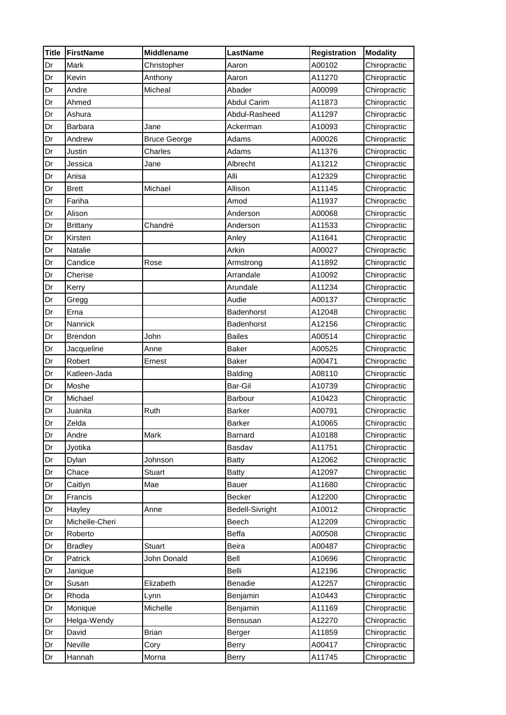| <b>Title</b> | <b>FirstName</b> | <b>Middlename</b>   | <b>LastName</b>        | <b>Registration</b> | <b>Modality</b> |
|--------------|------------------|---------------------|------------------------|---------------------|-----------------|
| Dr           | Mark             | Christopher         | Aaron                  | A00102              | Chiropractic    |
| Dr           | Kevin            | Anthony             | Aaron                  | A11270              | Chiropractic    |
| Dr           | Andre            | Micheal             | Abader                 | A00099              | Chiropractic    |
| Dr           | Ahmed            |                     | <b>Abdul Carim</b>     | A11873              | Chiropractic    |
| Dr           | Ashura           |                     | Abdul-Rasheed          | A11297              | Chiropractic    |
| Dr           | <b>Barbara</b>   | Jane                | Ackerman               | A10093              | Chiropractic    |
| Dr           | Andrew           | <b>Bruce George</b> | Adams                  | A00026              | Chiropractic    |
| Dr           | Justin           | Charles             | Adams                  | A11376              | Chiropractic    |
| Dr           | Jessica          | Jane                | Albrecht               | A11212              | Chiropractic    |
| Dr           | Anisa            |                     | Alli                   | A12329              | Chiropractic    |
| Dr           | <b>Brett</b>     | Michael             | Allison                | A11145              | Chiropractic    |
| Dr           | Fariha           |                     | Amod                   | A11937              | Chiropractic    |
| Dr           | Alison           |                     | Anderson               | A00068              | Chiropractic    |
| Dr           | <b>Brittany</b>  | Chandré             | Anderson               | A11533              | Chiropractic    |
| Dr           | Kirsten          |                     | Anley                  | A11641              | Chiropractic    |
| Dr           | Natalie          |                     | Arkin                  | A00027              | Chiropractic    |
| Dr           | Candice          | Rose                | Armstrong              | A11892              | Chiropractic    |
| Dr           | Cherise          |                     | Arrandale              | A10092              | Chiropractic    |
| Dr           | Kerry            |                     | Arundale               | A11234              | Chiropractic    |
| Dr           | Gregg            |                     | Audie                  | A00137              | Chiropractic    |
| Dr           | Erna             |                     | Badenhorst             | A12048              | Chiropractic    |
| Dr           | Nannick          |                     | <b>Badenhorst</b>      | A12156              | Chiropractic    |
| Dr           | <b>Brendon</b>   | John                | <b>Bailes</b>          | A00514              | Chiropractic    |
| Dr           | Jacqueline       | Anne                | Baker                  | A00525              | Chiropractic    |
| Dr           | Robert           | Ernest              | Baker                  | A00471              | Chiropractic    |
| Dr           | Katleen-Jada     |                     | <b>Balding</b>         | A08110              | Chiropractic    |
| Dr           | Moshe            |                     | Bar-Gil                | A10739              | Chiropractic    |
| Dr           | Michael          |                     | Barbour                | A10423              | Chiropractic    |
| Dr           | Juanita          | Ruth                | <b>Barker</b>          | A00791              | Chiropractic    |
| Dr           | Zelda            |                     | <b>Barker</b>          | A10065              | Chiropractic    |
| Dr           | Andre            | Mark                | Barnard                | A10188              | Chiropractic    |
| Dr           | Jyotika          |                     | Basdav                 | A11751              | Chiropractic    |
| Dr           | Dylan            | Johnson             | <b>Batty</b>           | A12062              | Chiropractic    |
| Dr           | Chace            | <b>Stuart</b>       | <b>Batty</b>           | A12097              | Chiropractic    |
| Dr           | Caitlyn          | Mae                 | Bauer                  | A11680              | Chiropractic    |
| Dr           | Francis          |                     | <b>Becker</b>          | A12200              | Chiropractic    |
| Dr           | Hayley           | Anne                | <b>Bedell-Sivright</b> | A10012              | Chiropractic    |
| Dr           | Michelle-Cheri   |                     | Beech                  | A12209              | Chiropractic    |
| Dr           | Roberto          |                     | Beffa                  | A00508              | Chiropractic    |
| Dr           | <b>Bradley</b>   | Stuart              | Beira                  | A00487              | Chiropractic    |
| Dr           | Patrick          | John Donald         | Bell                   | A10696              | Chiropractic    |
| Dr           | Janique          |                     | Belli                  | A12196              | Chiropractic    |
| Dr           | Susan            | Elizabeth           | Benadie                | A12257              | Chiropractic    |
| Dr           | Rhoda            | Lynn                | Benjamin               | A10443              | Chiropractic    |
| Dr           | Monique          | Michelle            | Benjamin               | A11169              | Chiropractic    |
| Dr           | Helga-Wendy      |                     | Bensusan               | A12270              | Chiropractic    |
| Dr           | David            | <b>Brian</b>        | Berger                 | A11859              | Chiropractic    |
| Dr           | Neville          | Cory                | Berry                  | A00417              | Chiropractic    |
| Dr           | Hannah           | Morna               | <b>Berry</b>           | A11745              | Chiropractic    |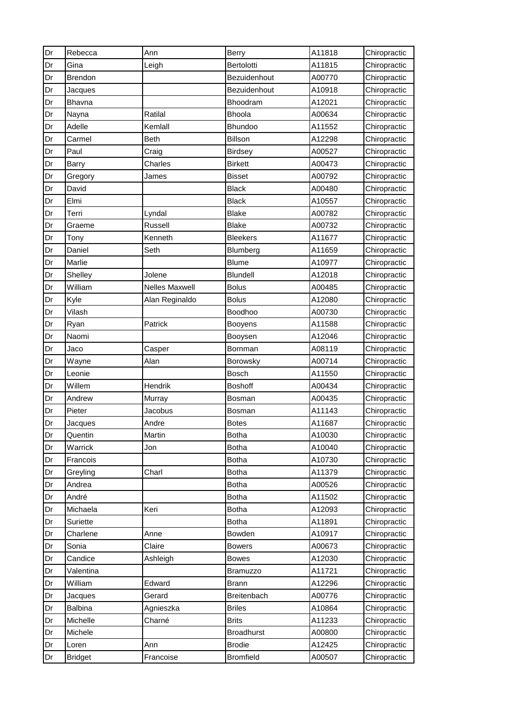| Dr | Rebecca        | Ann            | Berry             | A11818 | Chiropractic |
|----|----------------|----------------|-------------------|--------|--------------|
| Dr | Gina           | Leigh          | Bertolotti        | A11815 | Chiropractic |
| Dr | <b>Brendon</b> |                | Bezuidenhout      | A00770 | Chiropractic |
| Dr | Jacques        |                | Bezuidenhout      | A10918 | Chiropractic |
| Dr | Bhavna         |                | Bhoodram          | A12021 | Chiropractic |
| Dr | Nayna          | Ratilal        | Bhoola            | A00634 | Chiropractic |
| Dr | Adelle         | Kemlall        | <b>Bhundoo</b>    | A11552 | Chiropractic |
| Dr | Carmel         | <b>Beth</b>    | Billson           | A12298 | Chiropractic |
| Dr | Paul           | Craig          | <b>Birdsey</b>    | A00527 | Chiropractic |
| Dr | <b>Barry</b>   | Charles        | <b>Birkett</b>    | A00473 | Chiropractic |
| Dr | Gregory        | James          | <b>Bisset</b>     | A00792 | Chiropractic |
| Dr | David          |                | <b>Black</b>      | A00480 | Chiropractic |
| Dr | Elmi           |                | <b>Black</b>      | A10557 | Chiropractic |
| Dr | Terri          | Lyndal         | <b>Blake</b>      | A00782 | Chiropractic |
| Dr | Graeme         | Russell        | <b>Blake</b>      | A00732 | Chiropractic |
| Dr | Tony           | Kenneth        | <b>Bleekers</b>   | A11677 | Chiropractic |
| Dr | Daniel         | Seth           | Blumberg          | A11659 | Chiropractic |
| Dr | Marlie         |                | <b>Blume</b>      | A10977 | Chiropractic |
| Dr | Shelley        | Jolene         | Blundell          | A12018 | Chiropractic |
| Dr | William        | Nelles Maxwell | <b>Bolus</b>      | A00485 | Chiropractic |
| Dr | Kyle           | Alan Reginaldo | <b>Bolus</b>      | A12080 | Chiropractic |
| Dr | Vilash         |                | Boodhoo           | A00730 | Chiropractic |
| Dr | Ryan           | Patrick        | <b>Booyens</b>    | A11588 | Chiropractic |
| Dr | Naomi          |                | Booysen           | A12046 | Chiropractic |
| Dr | Jaco           | Casper         | Bornman           | A08119 | Chiropractic |
| Dr | Wayne          | Alan           | Borowsky          | A00714 | Chiropractic |
| Dr | Leonie         |                | <b>Bosch</b>      | A11550 | Chiropractic |
| Dr | Willem         | Hendrik        | <b>Boshoff</b>    | A00434 | Chiropractic |
| Dr | Andrew         | Murray         | Bosman            | A00435 | Chiropractic |
| Dr | Pieter         | Jacobus        | Bosman            | A11143 | Chiropractic |
| Dr | Jacques        | Andre          | Botes             | A11687 | Chiropractic |
| Dr | Quentin        | Martin         | <b>Botha</b>      | A10030 | Chiropractic |
| Dr | Warrick        | Jon            | <b>Botha</b>      | A10040 | Chiropractic |
| Dr | Francois       |                | <b>Botha</b>      | A10730 | Chiropractic |
| Dr | Greyling       | Charl          | <b>Botha</b>      | A11379 | Chiropractic |
| Dr | Andrea         |                | <b>Botha</b>      | A00526 | Chiropractic |
| Dr | André          |                | <b>Botha</b>      | A11502 | Chiropractic |
| Dr | Michaela       | Keri           | <b>Botha</b>      | A12093 | Chiropractic |
| Dr | Suriette       |                | <b>Botha</b>      | A11891 | Chiropractic |
| Dr | Charlene       | Anne           | Bowden            | A10917 | Chiropractic |
| Dr | Sonia          | Claire         | <b>Bowers</b>     | A00673 | Chiropractic |
| Dr | Candice        | Ashleigh       | <b>Bowes</b>      | A12030 | Chiropractic |
| Dr | Valentina      |                | <b>Bramuzzo</b>   | A11721 | Chiropractic |
| Dr | William        | Edward         | <b>Brann</b>      | A12296 | Chiropractic |
| Dr | Jacques        | Gerard         | Breitenbach       | A00776 | Chiropractic |
| Dr | <b>Balbina</b> | Agnieszka      | <b>Briles</b>     | A10864 | Chiropractic |
| Dr | Michelle       | Charné         | <b>Brits</b>      | A11233 | Chiropractic |
| Dr | Michele        |                | <b>Broadhurst</b> | A00800 | Chiropractic |
| Dr | Loren          | Ann            | <b>Brodie</b>     | A12425 | Chiropractic |
| Dr | <b>Bridget</b> | Francoise      | <b>Bromfield</b>  | A00507 | Chiropractic |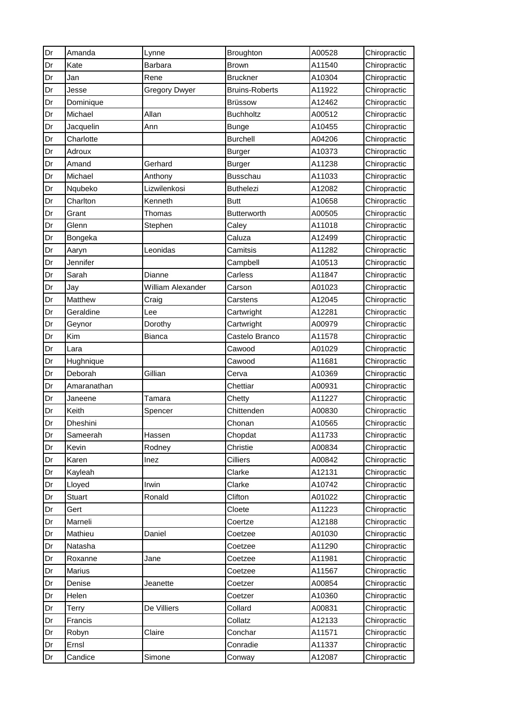| Dr | Amanda        | Lynne                | Broughton             | A00528 | Chiropractic |
|----|---------------|----------------------|-----------------------|--------|--------------|
| Dr | Kate          | Barbara              | <b>Brown</b>          | A11540 | Chiropractic |
| Dr | Jan           | Rene                 | <b>Bruckner</b>       | A10304 | Chiropractic |
| Dr | Jesse         | <b>Gregory Dwyer</b> | <b>Bruins-Roberts</b> | A11922 | Chiropractic |
| Dr | Dominique     |                      | <b>Brüssow</b>        | A12462 | Chiropractic |
| Dr | Michael       | Allan                | <b>Buchholtz</b>      | A00512 | Chiropractic |
| Dr | Jacquelin     | Ann                  | <b>Bunge</b>          | A10455 | Chiropractic |
| Dr | Charlotte     |                      | <b>Burchell</b>       | A04206 | Chiropractic |
| Dr | Adroux        |                      | <b>Burger</b>         | A10373 | Chiropractic |
| Dr | Amand         | Gerhard              | <b>Burger</b>         | A11238 | Chiropractic |
| Dr | Michael       | Anthony              | <b>Busschau</b>       | A11033 | Chiropractic |
| Dr | Nqubeko       | Lizwilenkosi         | <b>Buthelezi</b>      | A12082 | Chiropractic |
| Dr | Charlton      | Kenneth              | <b>Butt</b>           | A10658 | Chiropractic |
| Dr | Grant         | Thomas               | <b>Butterworth</b>    | A00505 | Chiropractic |
| Dr | Glenn         | Stephen              | Caley                 | A11018 | Chiropractic |
| Dr | Bongeka       |                      | Caluza                | A12499 | Chiropractic |
| Dr | Aaryn         | Leonidas             | Camitsis              | A11282 | Chiropractic |
| Dr | Jennifer      |                      | Campbell              | A10513 | Chiropractic |
| Dr | Sarah         | Dianne               | Carless               | A11847 | Chiropractic |
| Dr | Jay           | William Alexander    | Carson                | A01023 | Chiropractic |
| Dr | Matthew       | Craig                | Carstens              | A12045 | Chiropractic |
| Dr | Geraldine     | Lee                  | Cartwright            | A12281 | Chiropractic |
| Dr | Geynor        | Dorothy              | Cartwright            | A00979 | Chiropractic |
| Dr | Kim           | Bianca               | Castelo Branco        | A11578 | Chiropractic |
| Dr | Lara          |                      | Cawood                | A01029 | Chiropractic |
| Dr | Hughnique     |                      | Cawood                | A11681 | Chiropractic |
| Dr | Deborah       | Gillian              | Cerva                 | A10369 | Chiropractic |
| Dr | Amaranathan   |                      | Chettiar              | A00931 | Chiropractic |
| Dr | Janeene       | Tamara               | Chetty                | A11227 | Chiropractic |
| Dr | Keith         | Spencer              | Chittenden            | A00830 | Chiropractic |
| Dr | Dheshini      |                      | Chonan                | A10565 | Chiropractic |
| Dr | Sameerah      | Hassen               | Chopdat               | A11733 | Chiropractic |
| Dr | Kevin         | Rodney               | Christie              | A00834 | Chiropractic |
| Dr | Karen         | Inez                 | Cilliers              | A00842 | Chiropractic |
| Dr | Kayleah       |                      | Clarke                | A12131 | Chiropractic |
| Dr | Lloyed        | Irwin                | Clarke                | A10742 | Chiropractic |
| Dr | <b>Stuart</b> | Ronald               | Clifton               | A01022 | Chiropractic |
| Dr | Gert          |                      | Cloete                | A11223 | Chiropractic |
| Dr | Marneli       |                      | Coertze               | A12188 | Chiropractic |
| Dr | Mathieu       | Daniel               | Coetzee               | A01030 | Chiropractic |
| Dr | Natasha       |                      | Coetzee               | A11290 | Chiropractic |
| Dr | Roxanne       | Jane                 | Coetzee               | A11981 | Chiropractic |
| Dr | Marius        |                      | Coetzee               | A11567 | Chiropractic |
| Dr | Denise        | Jeanette             | Coetzer               | A00854 | Chiropractic |
| Dr | Helen         |                      | Coetzer               | A10360 | Chiropractic |
| Dr | Terry         | De Villiers          | Collard               | A00831 | Chiropractic |
| Dr | Francis       |                      | Collatz               | A12133 | Chiropractic |
| Dr | Robyn         | Claire               | Conchar               | A11571 | Chiropractic |
| Dr | Ernsl         |                      | Conradie              | A11337 | Chiropractic |
| Dr | Candice       | Simone               | Conway                | A12087 | Chiropractic |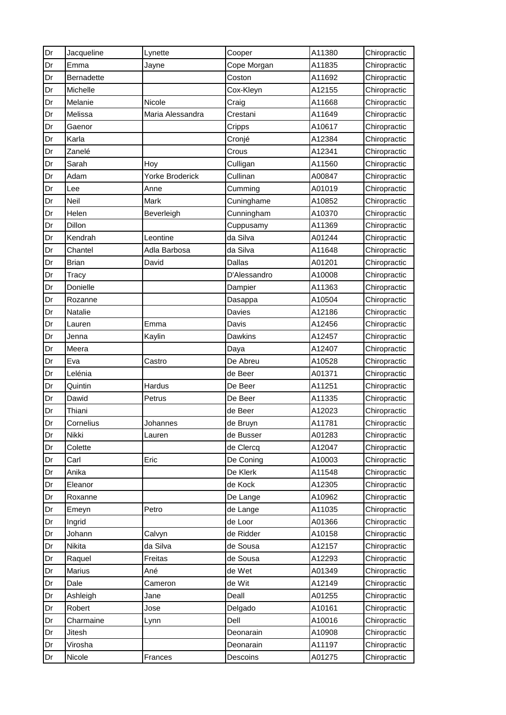| Dr | Jacqueline        | Lynette                | Cooper        | A11380 | Chiropractic |
|----|-------------------|------------------------|---------------|--------|--------------|
| Dr | Emma              | Jayne                  | Cope Morgan   | A11835 | Chiropractic |
| Dr | <b>Bernadette</b> |                        | Coston        | A11692 | Chiropractic |
| Dr | Michelle          |                        | Cox-Kleyn     | A12155 | Chiropractic |
| Dr | Melanie           | Nicole                 | Craig         | A11668 | Chiropractic |
| Dr | Melissa           | Maria Alessandra       | Crestani      | A11649 | Chiropractic |
| Dr | Gaenor            |                        | Cripps        | A10617 | Chiropractic |
| Dr | Karla             |                        | Cronjé        | A12384 | Chiropractic |
| Dr | Zanelé            |                        | Crous         | A12341 | Chiropractic |
| Dr | Sarah             | Hoy                    | Culligan      | A11560 | Chiropractic |
| Dr | Adam              | <b>Yorke Broderick</b> | Cullinan      | A00847 | Chiropractic |
| Dr | Lee               | Anne                   | Cumming       | A01019 | Chiropractic |
| Dr | Neil              | Mark                   | Cuninghame    | A10852 | Chiropractic |
| Dr | Helen             | Beverleigh             | Cunningham    | A10370 | Chiropractic |
| Dr | Dillon            |                        | Cuppusamy     | A11369 | Chiropractic |
| Dr | Kendrah           | Leontine               | da Silva      | A01244 | Chiropractic |
| Dr | Chantel           | Adla Barbosa           | da Silva      | A11648 | Chiropractic |
| Dr | <b>Brian</b>      | David                  | <b>Dallas</b> | A01201 | Chiropractic |
| Dr | Tracy             |                        | D'Alessandro  | A10008 | Chiropractic |
| Dr | Donielle          |                        | Dampier       | A11363 | Chiropractic |
| Dr | Rozanne           |                        | Dasappa       | A10504 | Chiropractic |
| Dr | Natalie           |                        | Davies        | A12186 | Chiropractic |
| Dr | Lauren            | Emma                   | Davis         | A12456 | Chiropractic |
| Dr | Jenna             | Kaylin                 | Dawkins       | A12457 | Chiropractic |
| Dr | Meera             |                        | Daya          | A12407 | Chiropractic |
| Dr | Eva               | Castro                 | De Abreu      | A10528 | Chiropractic |
| Dr | Lelénia           |                        | de Beer       | A01371 | Chiropractic |
| Dr | Quintin           | <b>Hardus</b>          | De Beer       | A11251 | Chiropractic |
| Dr | Dawid             | Petrus                 | De Beer       | A11335 | Chiropractic |
| Dr | Thiani            |                        | de Beer       | A12023 | Chiropractic |
| Dr | Cornelius         | Johannes               | de Bruyn      | A11781 | Chiropractic |
| Dr | Nikki             | Lauren                 | de Busser     | A01283 | Chiropractic |
| Dr | Colette           |                        | de Clercq     | A12047 | Chiropractic |
| Dr | Carl              | Eric                   | De Coning     | A10003 | Chiropractic |
| Dr | Anika             |                        | De Klerk      | A11548 | Chiropractic |
| Dr | Eleanor           |                        | de Kock       | A12305 | Chiropractic |
| Dr | Roxanne           |                        | De Lange      | A10962 | Chiropractic |
| Dr | Emeyn             | Petro                  | de Lange      | A11035 | Chiropractic |
| Dr | Ingrid            |                        | de Loor       | A01366 | Chiropractic |
| Dr | Johann            | Calvyn                 | de Ridder     | A10158 | Chiropractic |
| Dr | Nikita            | da Silva               | de Sousa      | A12157 | Chiropractic |
| Dr | Raquel            | Freitas                | de Sousa      | A12293 | Chiropractic |
| Dr | Marius            | Ané                    | de Wet        | A01349 | Chiropractic |
| Dr | Dale              | Cameron                | de Wit        | A12149 | Chiropractic |
| Dr | Ashleigh          | Jane                   | Deall         | A01255 | Chiropractic |
| Dr | Robert            | Jose                   | Delgado       | A10161 | Chiropractic |
| Dr | Charmaine         | Lynn                   | Dell          | A10016 | Chiropractic |
| Dr | Jitesh            |                        | Deonarain     | A10908 | Chiropractic |
| Dr | Virosha           |                        | Deonarain     | A11197 | Chiropractic |
| Dr | Nicole            | <b>Frances</b>         | Descoins      | A01275 | Chiropractic |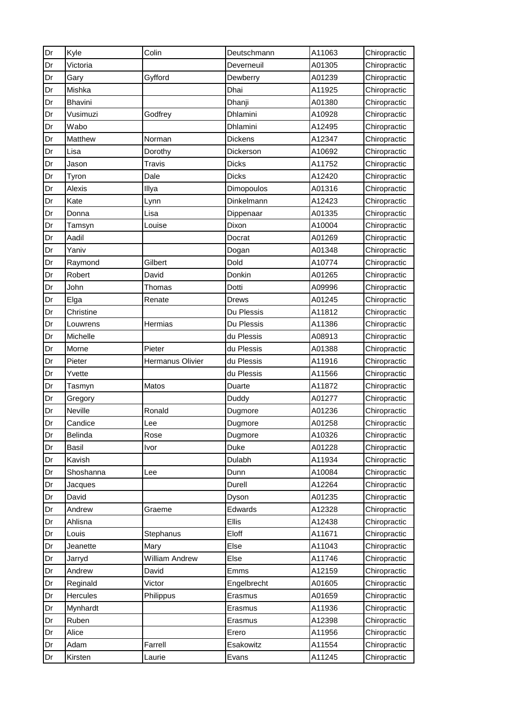| Dr | Kyle      | Colin                 | Deutschmann    | A11063 | Chiropractic |
|----|-----------|-----------------------|----------------|--------|--------------|
| Dr | Victoria  |                       | Deverneuil     | A01305 | Chiropractic |
| Dr | Gary      | Gyfford               | Dewberry       | A01239 | Chiropractic |
| Dr | Mishka    |                       | Dhai           | A11925 | Chiropractic |
| Dr | Bhavini   |                       | Dhanji         | A01380 | Chiropractic |
| Dr | Vusimuzi  | Godfrey               | Dhlamini       | A10928 | Chiropractic |
| Dr | Wabo      |                       | Dhlamini       | A12495 | Chiropractic |
| Dr | Matthew   | Norman                | <b>Dickens</b> | A12347 | Chiropractic |
| Dr | Lisa      | Dorothy               | Dickerson      | A10692 | Chiropractic |
| Dr | Jason     | Travis                | Dicks          | A11752 | Chiropractic |
| Dr | Tyron     | Dale                  | <b>Dicks</b>   | A12420 | Chiropractic |
| Dr | Alexis    | Illya                 | Dimopoulos     | A01316 | Chiropractic |
| Dr | Kate      | Lynn                  | Dinkelmann     | A12423 | Chiropractic |
| Dr | Donna     | Lisa                  | Dippenaar      | A01335 | Chiropractic |
| Dr | Tamsyn    | Louise                | Dixon          | A10004 | Chiropractic |
| Dr | Aadil     |                       | Docrat         | A01269 | Chiropractic |
| Dr | Yaniv     |                       | Dogan          | A01348 | Chiropractic |
| Dr | Raymond   | Gilbert               | Dold           | A10774 | Chiropractic |
| Dr | Robert    | David                 | Donkin         | A01265 | Chiropractic |
| Dr | John      | Thomas                | Dotti          | A09996 | Chiropractic |
| Dr | Elga      | Renate                | <b>Drews</b>   | A01245 | Chiropractic |
| Dr | Christine |                       | Du Plessis     | A11812 | Chiropractic |
| Dr | Louwrens  | Hermias               | Du Plessis     | A11386 | Chiropractic |
| Dr | Michelle  |                       | du Plessis     | A08913 | Chiropractic |
| Dr | Morne     | Pieter                | du Plessis     | A01388 | Chiropractic |
| Dr | Pieter    | Hermanus Olivier      | du Plessis     | A11916 | Chiropractic |
| Dr | Yvette    |                       | du Plessis     | A11566 | Chiropractic |
| Dr | Tasmyn    | Matos                 | Duarte         | A11872 | Chiropractic |
| Dr | Gregory   |                       | Duddy          | A01277 | Chiropractic |
| Dr | Neville   | Ronald                | Dugmore        | A01236 | Chiropractic |
| Dr | Candice   | Lee                   | Dugmore        | A01258 | Chiropractic |
| Dr | Belinda   | Rose                  | Dugmore        | A10326 | Chiropractic |
| Dr | Basil     | Ivor                  | Duke           | A01228 | Chiropractic |
| Dr | Kavish    |                       | Dulabh         | A11934 | Chiropractic |
| Dr | Shoshanna | Lee                   | Dunn           | A10084 | Chiropractic |
| Dr | Jacques   |                       | Durell         | A12264 | Chiropractic |
| Dr | David     |                       | Dyson          | A01235 | Chiropractic |
| Dr | Andrew    | Graeme                | Edwards        | A12328 | Chiropractic |
| Dr | Ahlisna   |                       | Ellis          | A12438 | Chiropractic |
| Dr | Louis     | Stephanus             | Eloff          | A11671 | Chiropractic |
| Dr | Jeanette  | Mary                  | Else           | A11043 | Chiropractic |
| Dr | Jarryd    | <b>William Andrew</b> | Else           | A11746 | Chiropractic |
| Dr | Andrew    | David                 | Emms           | A12159 | Chiropractic |
| Dr | Reginald  | Victor                | Engelbrecht    | A01605 | Chiropractic |
| Dr | Hercules  | Philippus             | Erasmus        | A01659 | Chiropractic |
| Dr | Mynhardt  |                       | Erasmus        | A11936 | Chiropractic |
| Dr | Ruben     |                       | Erasmus        | A12398 | Chiropractic |
| Dr | Alice     |                       | Erero          | A11956 | Chiropractic |
| Dr | Adam      | Farrell               | Esakowitz      | A11554 | Chiropractic |
| Dr | Kirsten   | Laurie                | Evans          | A11245 | Chiropractic |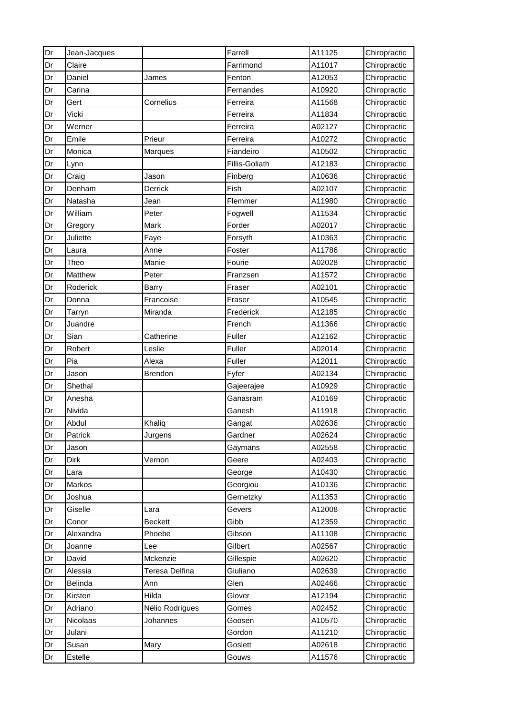| Dr | Jean-Jacques |                 | Farrell        | A11125 | Chiropractic |
|----|--------------|-----------------|----------------|--------|--------------|
| Dr | Claire       |                 | Farrimond      | A11017 | Chiropractic |
| Dr | Daniel       | James           | Fenton         | A12053 | Chiropractic |
| Dr | Carina       |                 | Fernandes      | A10920 | Chiropractic |
| Dr | Gert         | Cornelius       | Ferreira       | A11568 | Chiropractic |
| Dr | Vicki        |                 | Ferreira       | A11834 | Chiropractic |
| Dr | Werner       |                 | Ferreira       | A02127 | Chiropractic |
| Dr | Emile        | Prieur          | Ferreira       | A10272 | Chiropractic |
| Dr | Monica       | Marques         | Fiandeiro      | A10502 | Chiropractic |
| Dr | Lynn         |                 | Fillis-Goliath | A12183 | Chiropractic |
| Dr | Craig        | Jason           | Finberg        | A10636 | Chiropractic |
| Dr | Denham       | Derrick         | Fish           | A02107 | Chiropractic |
| Dr | Natasha      | Jean            | Flemmer        | A11980 | Chiropractic |
| Dr | William      | Peter           | Fogwell        | A11534 | Chiropractic |
| Dr | Gregory      | Mark            | Forder         | A02017 | Chiropractic |
| Dr | Juliette     | Faye            | Forsyth        | A10363 | Chiropractic |
| Dr | Laura        | Anne            | Foster         | A11786 | Chiropractic |
| Dr | Theo         | Manie           | Fourie         | A02028 | Chiropractic |
| Dr | Matthew      | Peter           | Franzsen       | A11572 | Chiropractic |
| Dr | Roderick     | Barry           | Fraser         | A02101 | Chiropractic |
| Dr | Donna        | Francoise       | Fraser         | A10545 | Chiropractic |
| Dr | Tarryn       | Miranda         | Frederick      | A12185 | Chiropractic |
| Dr | Juandre      |                 | French         | A11366 | Chiropractic |
| Dr | Sian         | Catherine       | Fuller         | A12162 | Chiropractic |
| Dr | Robert       | Leslie          | Fuller         | A02014 | Chiropractic |
| Dr | Pia          | Alexa           | Fuller         | A12011 | Chiropractic |
| Dr | Jason        | <b>Brendon</b>  | Fyfer          | A02134 | Chiropractic |
| Dr | Shethal      |                 | Gajeerajee     | A10929 | Chiropractic |
| Dr | Anesha       |                 | Ganasram       | A10169 | Chiropractic |
| Dr | Nivida       |                 | Ganesh         | A11918 | Chiropractic |
| Dr | Abdul        | Khaliq          | Gangat         | A02636 | Chiropractic |
| Dr | Patrick      | Jurgens         | Gardner        | A02624 | Chiropractic |
| Dr | Jason        |                 | Gaymans        | A02558 | Chiropractic |
| Dr | Dirk         | Vernon          | Geere          | A02403 | Chiropractic |
| Dr | Lara         |                 | George         | A10430 | Chiropractic |
| Dr | Markos       |                 | Georgiou       | A10136 | Chiropractic |
| Dr | Joshua       |                 | Gernetzky      | A11353 | Chiropractic |
| Dr | Giselle      | Lara            | Gevers         | A12008 | Chiropractic |
| Dr | Conor        | <b>Beckett</b>  | Gibb           | A12359 | Chiropractic |
| Dr | Alexandra    | Phoebe          | Gibson         | A11108 | Chiropractic |
| Dr | Joanne       | Lee             | Gilbert        | A02567 | Chiropractic |
| Dr | David        | Mckenzie        | Gillespie      | A02620 | Chiropractic |
| Dr | Alessia      | Teresa Delfina  | Giuliano       | A02639 | Chiropractic |
| Dr | Belinda      | Ann             | Glen           | A02466 | Chiropractic |
| Dr | Kirsten      | Hilda           | Glover         | A12194 | Chiropractic |
| Dr | Adriano      | Nélio Rodrigues | Gomes          | A02452 | Chiropractic |
| Dr | Nicolaas     | Johannes        | Goosen         | A10570 | Chiropractic |
| Dr | Julani       |                 | Gordon         | A11210 | Chiropractic |
| Dr | Susan        | Mary            | Goslett        | A02618 | Chiropractic |
| Dr | Estelle      |                 | Gouws          | A11576 | Chiropractic |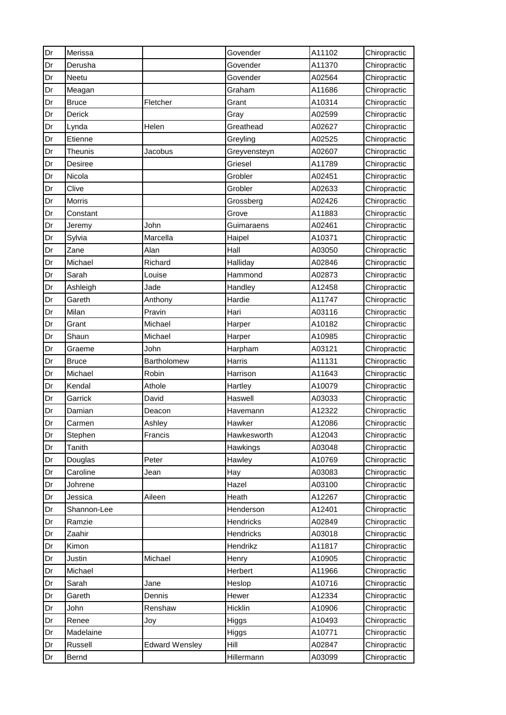| Dr | Merissa        |                       | Govender     | A11102 | Chiropractic |
|----|----------------|-----------------------|--------------|--------|--------------|
| Dr | Derusha        |                       | Govender     | A11370 | Chiropractic |
| Dr | Neetu          |                       | Govender     | A02564 | Chiropractic |
| Dr | Meagan         |                       | Graham       | A11686 | Chiropractic |
| Dr | <b>Bruce</b>   | Fletcher              | Grant        | A10314 | Chiropractic |
| Dr | Derick         |                       | Gray         | A02599 | Chiropractic |
| Dr | Lynda          | Helen                 | Greathead    | A02627 | Chiropractic |
| Dr | Etienne        |                       | Greyling     | A02525 | Chiropractic |
| Dr | <b>Theunis</b> | Jacobus               | Greyvensteyn | A02607 | Chiropractic |
| Dr | Desiree        |                       | Griesel      | A11789 | Chiropractic |
| Dr | Nicola         |                       | Grobler      | A02451 | Chiropractic |
| Dr | Clive          |                       | Grobler      | A02633 | Chiropractic |
| Dr | Morris         |                       | Grossberg    | A02426 | Chiropractic |
| Dr | Constant       |                       | Grove        | A11883 | Chiropractic |
| Dr | Jeremy         | John                  | Guimaraens   | A02461 | Chiropractic |
| Dr | Sylvia         | Marcella              | Haipel       | A10371 | Chiropractic |
| Dr | Zane           | Alan                  | Hall         | A03050 | Chiropractic |
| Dr | Michael        | Richard               | Halliday     | A02846 | Chiropractic |
| Dr | Sarah          | Louise                | Hammond      | A02873 | Chiropractic |
| Dr | Ashleigh       | Jade                  | Handley      | A12458 | Chiropractic |
| Dr | Gareth         | Anthony               | Hardie       | A11747 | Chiropractic |
| Dr | Milan          | Pravin                | Hari         | A03116 | Chiropractic |
| Dr | Grant          | Michael               | Harper       | A10182 | Chiropractic |
| Dr | Shaun          | Michael               | Harper       | A10985 | Chiropractic |
| Dr | Graeme         | John                  | Harpham      | A03121 | Chiropractic |
| Dr | <b>Bruce</b>   | Bartholomew           | Harris       | A11131 | Chiropractic |
| Dr | Michael        | Robin                 | Harrison     | A11643 | Chiropractic |
| Dr | Kendal         | Athole                | Hartley      | A10079 | Chiropractic |
| Dr | Garrick        | David                 | Haswell      | A03033 | Chiropractic |
| Dr | Damian         | Deacon                | Havemann     | A12322 | Chiropractic |
| Dr | Carmen         | Ashley                | Hawker       | A12086 | Chiropractic |
| Dr | Stephen        | Francis               | Hawkesworth  | A12043 | Chiropractic |
| Dr | <b>Tanith</b>  |                       | Hawkings     | A03048 | Chiropractic |
| Dr | Douglas        | Peter                 | Hawley       | A10769 | Chiropractic |
| Dr | Caroline       | Jean                  | Hay          | A03083 | Chiropractic |
| Dr | Johrene        |                       | Hazel        | A03100 | Chiropractic |
| Dr | Jessica        | Aileen                | Heath        | A12267 | Chiropractic |
| Dr | Shannon-Lee    |                       | Henderson    | A12401 | Chiropractic |
| Dr | Ramzie         |                       | Hendricks    | A02849 | Chiropractic |
| Dr | Zaahir         |                       | Hendricks    | A03018 | Chiropractic |
| Dr | Kimon          |                       | Hendrikz     | A11817 | Chiropractic |
| Dr | Justin         | Michael               | Henry        | A10905 | Chiropractic |
| Dr | Michael        |                       | Herbert      | A11966 | Chiropractic |
| Dr | Sarah          | Jane                  | Heslop       | A10716 | Chiropractic |
| Dr | Gareth         | Dennis                | Hewer        | A12334 | Chiropractic |
| Dr | John           | Renshaw               | Hicklin      | A10906 | Chiropractic |
| Dr | Renee          | Joy                   | Higgs        | A10493 | Chiropractic |
| Dr | Madelaine      |                       | Higgs        | A10771 | Chiropractic |
| Dr | Russell        | <b>Edward Wensley</b> | Hill         | A02847 | Chiropractic |
| Dr | Bernd          |                       | Hillermann   | A03099 | Chiropractic |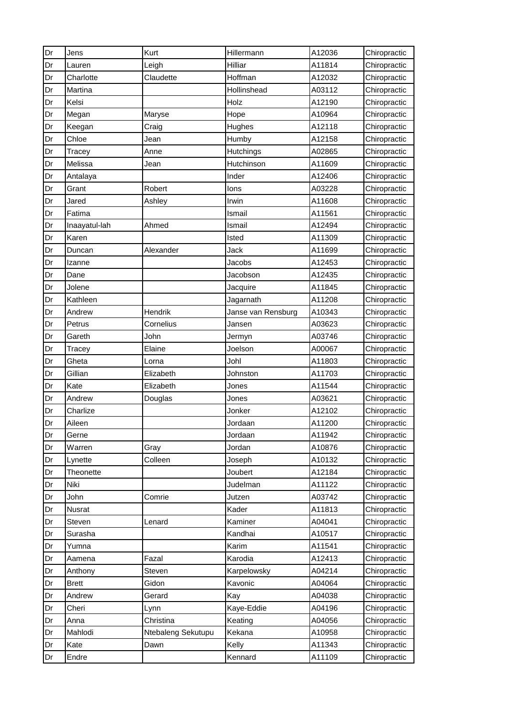| Dr | Jens          | Kurt               | Hillermann         | A12036 | Chiropractic |
|----|---------------|--------------------|--------------------|--------|--------------|
| Dr | Lauren        | Leigh              | Hilliar            | A11814 | Chiropractic |
| Dr | Charlotte     | Claudette          | Hoffman            | A12032 | Chiropractic |
| Dr | Martina       |                    | Hollinshead        | A03112 | Chiropractic |
| Dr | Kelsi         |                    | Holz               | A12190 | Chiropractic |
| Dr | Megan         | Maryse             | Hope               | A10964 | Chiropractic |
| Dr | Keegan        | Craig              | Hughes             | A12118 | Chiropractic |
| Dr | Chloe         | Jean               | Humby              | A12158 | Chiropractic |
| Dr | Tracey        | Anne               | <b>Hutchings</b>   | A02865 | Chiropractic |
| Dr | Melissa       | Jean               | Hutchinson         | A11609 | Chiropractic |
| Dr | Antalaya      |                    | Inder              | A12406 | Chiropractic |
| Dr | Grant         | Robert             | lons               | A03228 | Chiropractic |
| Dr | Jared         | Ashley             | Irwin              | A11608 | Chiropractic |
| Dr | Fatima        |                    | Ismail             | A11561 | Chiropractic |
| Dr | Inaayatul-lah | Ahmed              | Ismail             | A12494 | Chiropractic |
| Dr | Karen         |                    | Isted              | A11309 | Chiropractic |
| Dr | Duncan        | Alexander          | Jack               | A11699 | Chiropractic |
| Dr | Izanne        |                    | Jacobs             | A12453 | Chiropractic |
| Dr | Dane          |                    | Jacobson           | A12435 | Chiropractic |
| Dr | Jolene        |                    | Jacquire           | A11845 | Chiropractic |
| Dr | Kathleen      |                    | Jagarnath          | A11208 | Chiropractic |
| Dr | Andrew        | Hendrik            | Janse van Rensburg | A10343 | Chiropractic |
| Dr | Petrus        | Cornelius          | Jansen             | A03623 | Chiropractic |
| Dr | Gareth        | John               | Jermyn             | A03746 | Chiropractic |
| Dr | Tracey        | Elaine             | Joelson            | A00067 | Chiropractic |
| Dr | Gheta         | Lorna              | Johl               | A11803 | Chiropractic |
| Dr | Gillian       | Elizabeth          | Johnston           | A11703 | Chiropractic |
| Dr | Kate          | Elizabeth          | Jones              | A11544 | Chiropractic |
| Dr | Andrew        | Douglas            | Jones              | A03621 | Chiropractic |
| Dr | Charlize      |                    | Jonker             | A12102 | Chiropractic |
| Dr | Aileen        |                    | Jordaan            | A11200 | Chiropractic |
| Dr | Gerne         |                    | Jordaan            | A11942 | Chiropractic |
| Dr | Warren        | Gray               | Jordan             | A10876 | Chiropractic |
| Dr | Lynette       | Colleen            | Joseph             | A10132 | Chiropractic |
| Dr | Theonette     |                    | Joubert            | A12184 | Chiropractic |
| Dr | Niki          |                    | Judelman           | A11122 | Chiropractic |
| Dr | John          | Comrie             | Jutzen             | A03742 | Chiropractic |
| Dr | Nusrat        |                    | Kader              | A11813 | Chiropractic |
| Dr | Steven        | Lenard             | Kaminer            | A04041 | Chiropractic |
| Dr | Surasha       |                    | Kandhai            | A10517 | Chiropractic |
| Dr | Yumna         |                    | Karim              | A11541 | Chiropractic |
| Dr | Aamena        | Fazal              | Karodia            | A12413 | Chiropractic |
| Dr | Anthony       | Steven             | Karpelowsky        | A04214 | Chiropractic |
| Dr | <b>Brett</b>  | Gidon              | Kavonic            | A04064 | Chiropractic |
| Dr | Andrew        | Gerard             | Kay                | A04038 | Chiropractic |
| Dr | Cheri         | Lynn               | Kaye-Eddie         | A04196 | Chiropractic |
| Dr | Anna          | Christina          | Keating            | A04056 | Chiropractic |
| Dr | Mahlodi       | Ntebaleng Sekutupu | Kekana             | A10958 | Chiropractic |
| Dr | Kate          | Dawn               | Kelly              | A11343 | Chiropractic |
| Dr | Endre         |                    | Kennard            | A11109 | Chiropractic |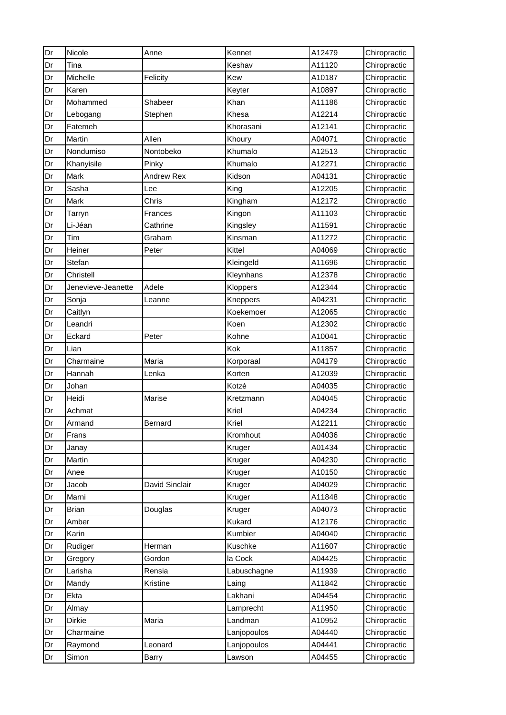| Dr | Nicole             | Anne              | Kennet      | A12479 | Chiropractic |
|----|--------------------|-------------------|-------------|--------|--------------|
| Dr | Tina               |                   | Keshav      | A11120 | Chiropractic |
| Dr | Michelle           | Felicity          | Kew         | A10187 | Chiropractic |
| Dr | Karen              |                   | Keyter      | A10897 | Chiropractic |
| Dr | Mohammed           | Shabeer           | Khan        | A11186 | Chiropractic |
| Dr | Lebogang           | Stephen           | Khesa       | A12214 | Chiropractic |
| Dr | Fatemeh            |                   | Khorasani   | A12141 | Chiropractic |
| Dr | Martin             | Allen             | Khoury      | A04071 | Chiropractic |
| Dr | Nondumiso          | Nontobeko         | Khumalo     | A12513 | Chiropractic |
| Dr | Khanyisile         | Pinky             | Khumalo     | A12271 | Chiropractic |
| Dr | Mark               | <b>Andrew Rex</b> | Kidson      | A04131 | Chiropractic |
| Dr | Sasha              | Lee               | King        | A12205 | Chiropractic |
| Dr | Mark               | Chris             | Kingham     | A12172 | Chiropractic |
| Dr | Tarryn             | Frances           | Kingon      | A11103 | Chiropractic |
| Dr | Li-Jéan            | Cathrine          | Kingsley    | A11591 | Chiropractic |
| Dr | Tim                | Graham            | Kinsman     | A11272 | Chiropractic |
| Dr | Heiner             | Peter             | Kittel      | A04069 | Chiropractic |
| Dr | Stefan             |                   | Kleingeld   | A11696 | Chiropractic |
| Dr | Christell          |                   | Kleynhans   | A12378 | Chiropractic |
| Dr | Jenevieve-Jeanette | Adele             | Kloppers    | A12344 | Chiropractic |
| Dr | Sonja              | Leanne            | Kneppers    | A04231 | Chiropractic |
| Dr | Caitlyn            |                   | Koekemoer   | A12065 | Chiropractic |
| Dr | Leandri            |                   | Koen        | A12302 | Chiropractic |
| Dr | Eckard             | Peter             | Kohne       | A10041 | Chiropractic |
| Dr | Lian               |                   | Kok         | A11857 | Chiropractic |
| Dr | Charmaine          | Maria             | Korporaal   | A04179 | Chiropractic |
| Dr | Hannah             | Lenka             | Korten      | A12039 | Chiropractic |
| Dr | Johan              |                   | Kotzé       | A04035 | Chiropractic |
| Dr | Heidi              | Marise            | Kretzmann   | A04045 | Chiropractic |
| Dr | Achmat             |                   | Kriel       | A04234 | Chiropractic |
| Dr | Armand             | Bernard           | Kriel       | A12211 | Chiropractic |
| Dr | Frans              |                   | Kromhout    | A04036 | Chiropractic |
| Dr | Janay              |                   | Kruger      | A01434 | Chiropractic |
| Dr | Martin             |                   | Kruger      | A04230 | Chiropractic |
| Dr | Anee               |                   | Kruger      | A10150 | Chiropractic |
| Dr | Jacob              | David Sinclair    | Kruger      | A04029 | Chiropractic |
| Dr | Marni              |                   | Kruger      | A11848 | Chiropractic |
| Dr | <b>Brian</b>       | Douglas           | Kruger      | A04073 | Chiropractic |
| Dr | Amber              |                   | Kukard      | A12176 | Chiropractic |
| Dr | Karin              |                   | Kumbier     | A04040 | Chiropractic |
| Dr | Rudiger            | Herman            | Kuschke     | A11607 | Chiropractic |
| Dr | Gregory            | Gordon            | la Cock     | A04425 | Chiropractic |
| Dr | Larisha            | Rensia            | Labuschagne | A11939 | Chiropractic |
| Dr | Mandy              | Kristine          | Laing       | A11842 | Chiropractic |
| Dr | Ekta               |                   | Lakhani     | A04454 | Chiropractic |
| Dr | Almay              |                   | Lamprecht   | A11950 | Chiropractic |
| Dr | Dirkie             | Maria             | Landman     | A10952 | Chiropractic |
| Dr | Charmaine          |                   | Lanjopoulos | A04440 | Chiropractic |
| Dr | Raymond            | Leonard           | Lanjopoulos | A04441 | Chiropractic |
| Dr | Simon              | <b>Barry</b>      | Lawson      | A04455 | Chiropractic |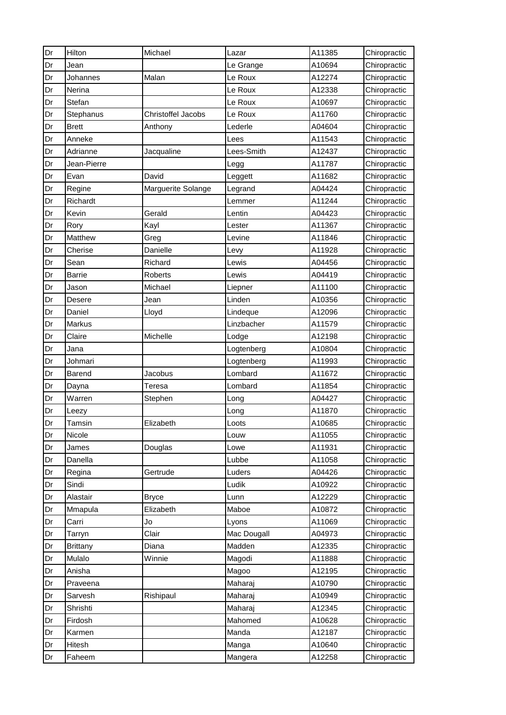| Dr | Hilton          | Michael            | Lazar       | A11385 | Chiropractic |
|----|-----------------|--------------------|-------------|--------|--------------|
| Dr | Jean            |                    | Le Grange   | A10694 | Chiropractic |
| Dr | Johannes        | Malan              | Le Roux     | A12274 | Chiropractic |
| Dr | Nerina          |                    | Le Roux     | A12338 | Chiropractic |
| Dr | Stefan          |                    | Le Roux     | A10697 | Chiropractic |
| Dr | Stephanus       | Christoffel Jacobs | Le Roux     | A11760 | Chiropractic |
| Dr | <b>Brett</b>    | Anthony            | Lederle     | A04604 | Chiropractic |
| Dr | Anneke          |                    | Lees        | A11543 | Chiropractic |
| Dr | Adrianne        | Jacqualine         | Lees-Smith  | A12437 | Chiropractic |
| Dr | Jean-Pierre     |                    | Legg        | A11787 | Chiropractic |
| Dr | Evan            | David              | Leggett     | A11682 | Chiropractic |
| Dr | Regine          | Marguerite Solange | Legrand     | A04424 | Chiropractic |
| Dr | Richardt        |                    | Lemmer      | A11244 | Chiropractic |
| Dr | Kevin           | Gerald             | Lentin      | A04423 | Chiropractic |
| Dr | Rory            | Kayl               | Lester      | A11367 | Chiropractic |
| Dr | Matthew         | Greg               | Levine      | A11846 | Chiropractic |
| Dr | Cherise         | Danielle           | Levy        | A11928 | Chiropractic |
| Dr | Sean            | Richard            | Lewis       | A04456 | Chiropractic |
| Dr | Barrie          | Roberts            | Lewis       | A04419 | Chiropractic |
| Dr | Jason           | Michael            | Liepner     | A11100 | Chiropractic |
| Dr | Desere          | Jean               | Linden      | A10356 | Chiropractic |
| Dr | Daniel          | Lloyd              | Lindeque    | A12096 | Chiropractic |
| Dr | Markus          |                    | Linzbacher  | A11579 | Chiropractic |
| Dr | Claire          | Michelle           | Lodge       | A12198 | Chiropractic |
| Dr | Jana            |                    | Logtenberg  | A10804 | Chiropractic |
| Dr | Johmari         |                    | Logtenberg  | A11993 | Chiropractic |
| Dr | Barend          | Jacobus            | Lombard     | A11672 | Chiropractic |
| Dr | Dayna           | Teresa             | Lombard     | A11854 | Chiropractic |
| Dr | Warren          | Stephen            | Long        | A04427 | Chiropractic |
| Dr | Leezy           |                    | Long        | A11870 | Chiropractic |
| Dr | Tamsin          | Elizabeth          | Loots       | A10685 | Chiropractic |
| Dr | Nicole          |                    | Louw        | A11055 | Chiropractic |
| Dr | James           | Douglas            | Lowe        | A11931 | Chiropractic |
| Dr | Danella         |                    | Lubbe       | A11058 | Chiropractic |
| Dr | Regina          | Gertrude           | Luders      | A04426 | Chiropractic |
| Dr | Sindi           |                    | Ludik       | A10922 | Chiropractic |
| Dr | Alastair        | <b>Bryce</b>       | Lunn        | A12229 | Chiropractic |
| Dr | Mmapula         | Elizabeth          | Maboe       | A10872 | Chiropractic |
| Dr | Carri           | Jo                 | Lyons       | A11069 | Chiropractic |
| Dr | Tarryn          | Clair              | Mac Dougall | A04973 | Chiropractic |
| Dr | <b>Brittany</b> | Diana              | Madden      | A12335 | Chiropractic |
| Dr | Mulalo          | Winnie             | Magodi      | A11888 | Chiropractic |
| Dr | Anisha          |                    | Magoo       | A12195 | Chiropractic |
| Dr | Praveena        |                    | Maharaj     | A10790 | Chiropractic |
| Dr | Sarvesh         | Rishipaul          | Maharaj     | A10949 | Chiropractic |
| Dr | Shrishti        |                    | Maharaj     | A12345 | Chiropractic |
| Dr | Firdosh         |                    | Mahomed     | A10628 | Chiropractic |
| Dr | Karmen          |                    | Manda       | A12187 | Chiropractic |
| Dr | Hitesh          |                    | Manga       | A10640 | Chiropractic |
| Dr | Faheem          |                    | Mangera     | A12258 | Chiropractic |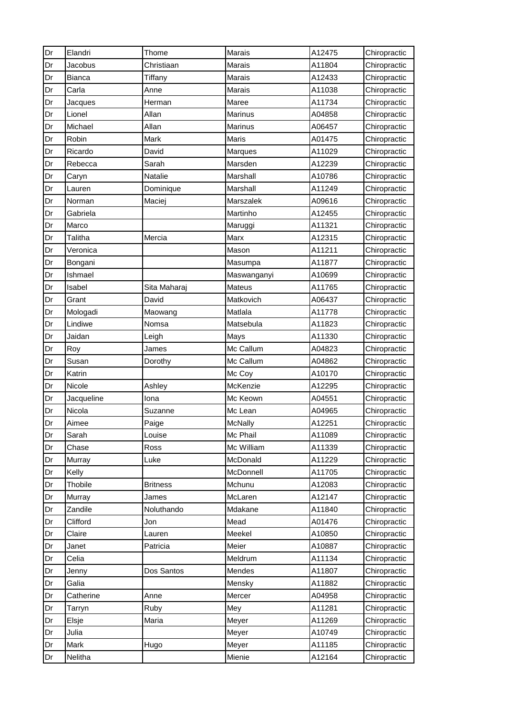| Dr | Elandri       | Thome           | Marais         | A12475 | Chiropractic |
|----|---------------|-----------------|----------------|--------|--------------|
| Dr | Jacobus       | Christiaan      | Marais         | A11804 | Chiropractic |
| Dr | <b>Bianca</b> | Tiffany         | Marais         | A12433 | Chiropractic |
| Dr | Carla         | Anne            | Marais         | A11038 | Chiropractic |
| Dr | Jacques       | Herman          | Maree          | A11734 | Chiropractic |
| Dr | Lionel        | Allan           | Marinus        | A04858 | Chiropractic |
| Dr | Michael       | Allan           | Marinus        | A06457 | Chiropractic |
| Dr | Robin         | Mark            | Maris          | A01475 | Chiropractic |
| Dr | Ricardo       | David           | Marques        | A11029 | Chiropractic |
| Dr | Rebecca       | Sarah           | Marsden        | A12239 | Chiropractic |
| Dr | Caryn         | Natalie         | Marshall       | A10786 | Chiropractic |
| Dr | Lauren        | Dominique       | Marshall       | A11249 | Chiropractic |
| Dr | Norman        | Maciej          | Marszalek      | A09616 | Chiropractic |
| Dr | Gabriela      |                 | Martinho       | A12455 | Chiropractic |
| Dr | Marco         |                 | Maruggi        | A11321 | Chiropractic |
| Dr | Talitha       | Mercia          | Marx           | A12315 | Chiropractic |
| Dr | Veronica      |                 | Mason          | A11211 | Chiropractic |
| Dr | Bongani       |                 | Masumpa        | A11877 | Chiropractic |
| Dr | Ishmael       |                 | Maswanganyi    | A10699 | Chiropractic |
| Dr | Isabel        | Sita Maharaj    | Mateus         | A11765 | Chiropractic |
| Dr | Grant         | David           | Matkovich      | A06437 | Chiropractic |
| Dr | Mologadi      | Maowang         | Matlala        | A11778 | Chiropractic |
| Dr | Lindiwe       | Nomsa           | Matsebula      | A11823 | Chiropractic |
| Dr | Jaidan        | Leigh           | Mays           | A11330 | Chiropractic |
| Dr | Roy           | James           | Mc Callum      | A04823 | Chiropractic |
| Dr | Susan         | Dorothy         | Mc Callum      | A04862 | Chiropractic |
| Dr | Katrin        |                 | Mc Coy         | A10170 | Chiropractic |
| Dr | Nicole        | Ashley          | McKenzie       | A12295 | Chiropractic |
| Dr | Jacqueline    | Iona            | Mc Keown       | A04551 | Chiropractic |
| Dr | Nicola        | Suzanne         | Mc Lean        | A04965 | Chiropractic |
| Dr | Aimee         | Paige           | <b>McNally</b> | A12251 | Chiropractic |
| Dr | Sarah         | Louise          | Mc Phail       | A11089 | Chiropractic |
| Dr | Chase         | Ross            | Mc William     | A11339 | Chiropractic |
| Dr | Murray        | Luke            | McDonald       | A11229 | Chiropractic |
| Dr | Kelly         |                 | McDonnell      | A11705 | Chiropractic |
| Dr | Thobile       | <b>Britness</b> | Mchunu         | A12083 | Chiropractic |
| Dr | Murray        | James           | McLaren        | A12147 | Chiropractic |
| Dr | Zandile       | Noluthando      | Mdakane        | A11840 | Chiropractic |
| Dr | Clifford      | Jon             | Mead           | A01476 | Chiropractic |
| Dr | Claire        | Lauren          | Meekel         | A10850 | Chiropractic |
| Dr | Janet         | Patricia        | Meier          | A10887 | Chiropractic |
| Dr | Celia         |                 | Meldrum        | A11134 | Chiropractic |
| Dr | Jenny         | Dos Santos      | Mendes         | A11807 | Chiropractic |
| Dr | Galia         |                 | Mensky         | A11882 | Chiropractic |
| Dr | Catherine     | Anne            | Mercer         | A04958 | Chiropractic |
| Dr | Tarryn        | Ruby            | Mey            | A11281 | Chiropractic |
| Dr | Elsje         | Maria           | Meyer          | A11269 | Chiropractic |
| Dr | Julia         |                 | Meyer          | A10749 | Chiropractic |
| Dr | Mark          | Hugo            | Meyer          | A11185 | Chiropractic |
| Dr | Nelitha       |                 | Mienie         | A12164 | Chiropractic |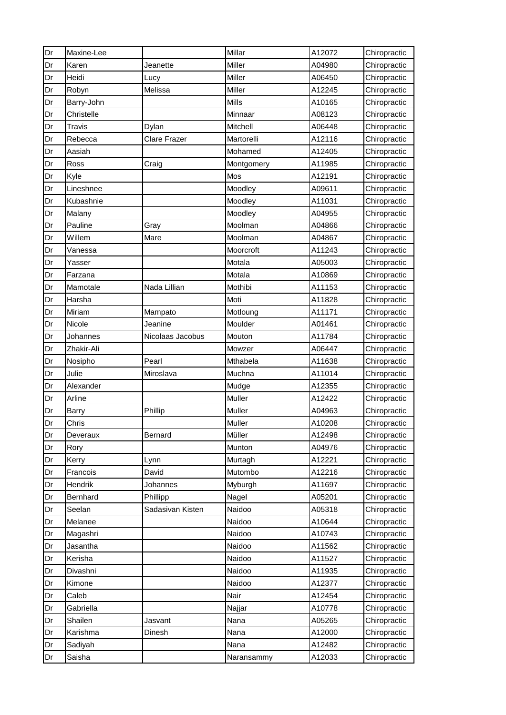| Dr | Maxine-Lee    |                     | Millar     | A12072 | Chiropractic |
|----|---------------|---------------------|------------|--------|--------------|
| Dr | Karen         | Jeanette            | Miller     | A04980 | Chiropractic |
| Dr | Heidi         | Lucy                | Miller     | A06450 | Chiropractic |
| Dr | Robyn         | Melissa             | Miller     | A12245 | Chiropractic |
| Dr | Barry-John    |                     | Mills      | A10165 | Chiropractic |
| Dr | Christelle    |                     | Minnaar    | A08123 | Chiropractic |
| Dr | <b>Travis</b> | Dylan               | Mitchell   | A06448 | Chiropractic |
| Dr | Rebecca       | <b>Clare Frazer</b> | Martorelli | A12116 | Chiropractic |
| Dr | Aasiah        |                     | Mohamed    | A12405 | Chiropractic |
| Dr | Ross          | Craig               | Montgomery | A11985 | Chiropractic |
| Dr | Kyle          |                     | Mos        | A12191 | Chiropractic |
| Dr | Lineshnee     |                     | Moodley    | A09611 | Chiropractic |
| Dr | Kubashnie     |                     | Moodley    | A11031 | Chiropractic |
| Dr | Malany        |                     | Moodley    | A04955 | Chiropractic |
| Dr | Pauline       | Gray                | Moolman    | A04866 | Chiropractic |
| Dr | Willem        | Mare                | Moolman    | A04867 | Chiropractic |
| Dr | Vanessa       |                     | Moorcroft  | A11243 | Chiropractic |
| Dr | Yasser        |                     | Motala     | A05003 | Chiropractic |
| Dr | Farzana       |                     | Motala     | A10869 | Chiropractic |
| Dr | Mamotale      | Nada Lillian        | Mothibi    | A11153 | Chiropractic |
| Dr | Harsha        |                     | Moti       | A11828 | Chiropractic |
| Dr | Miriam        | Mampato             | Motloung   | A11171 | Chiropractic |
| Dr | Nicole        | Jeanine             | Moulder    | A01461 | Chiropractic |
| Dr | Johannes      | Nicolaas Jacobus    | Mouton     | A11784 | Chiropractic |
| Dr | Zhakir-Ali    |                     | Mowzer     | A06447 | Chiropractic |
| Dr | Nosipho       | Pearl               | Mthabela   | A11638 | Chiropractic |
| Dr | Julie         | Miroslava           | Muchna     | A11014 | Chiropractic |
| Dr | Alexander     |                     | Mudge      | A12355 | Chiropractic |
| Dr | Arline        |                     | Muller     | A12422 | Chiropractic |
| Dr | <b>Barry</b>  | Phillip             | Muller     | A04963 | Chiropractic |
| Dr | Chris         |                     | Muller     | A10208 | Chiropractic |
| Dr | Deveraux      | <b>Bernard</b>      | Müller     | A12498 | Chiropractic |
| Dr | Rory          |                     | Munton     | A04976 | Chiropractic |
| Dr | Kerry         | Lynn                | Murtagh    | A12221 | Chiropractic |
| Dr | Francois      | David               | Mutombo    | A12216 | Chiropractic |
| Dr | Hendrik       | Johannes            | Myburgh    | A11697 | Chiropractic |
| Dr | Bernhard      | Phillipp            | Nagel      | A05201 | Chiropractic |
| Dr | Seelan        | Sadasivan Kisten    | Naidoo     | A05318 | Chiropractic |
| Dr | Melanee       |                     | Naidoo     | A10644 | Chiropractic |
| Dr | Magashri      |                     | Naidoo     | A10743 | Chiropractic |
| Dr | Jasantha      |                     | Naidoo     | A11562 | Chiropractic |
| Dr | Kerisha       |                     | Naidoo     | A11527 | Chiropractic |
| Dr | Divashni      |                     | Naidoo     | A11935 | Chiropractic |
| Dr | Kimone        |                     | Naidoo     | A12377 | Chiropractic |
| Dr | Caleb         |                     | Nair       | A12454 | Chiropractic |
| Dr | Gabriella     |                     | Najjar     | A10778 | Chiropractic |
| Dr | Shailen       | Jasvant             | Nana       | A05265 | Chiropractic |
| Dr | Karishma      | Dinesh              | Nana       | A12000 | Chiropractic |
| Dr | Sadiyah       |                     | Nana       | A12482 | Chiropractic |
| Dr | Saisha        |                     | Naransammy | A12033 | Chiropractic |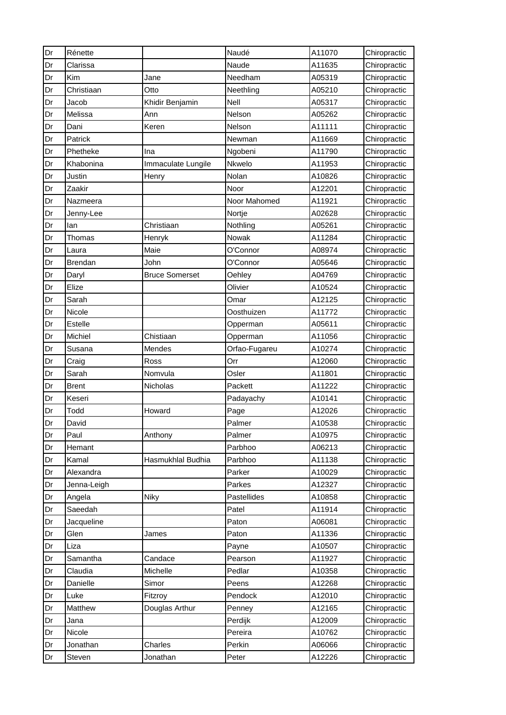| Dr | Rénette        |                       | Naudé         | A11070 | Chiropractic |
|----|----------------|-----------------------|---------------|--------|--------------|
| Dr | Clarissa       |                       | Naude         | A11635 | Chiropractic |
| Dr | Kim            | Jane                  | Needham       | A05319 | Chiropractic |
| Dr | Christiaan     | Otto                  | Neethling     | A05210 | Chiropractic |
| Dr | Jacob          | Khidir Benjamin       | Nell          | A05317 | Chiropractic |
| Dr | Melissa        | Ann                   | Nelson        | A05262 | Chiropractic |
| Dr | Dani           | Keren                 | Nelson        | A11111 | Chiropractic |
| Dr | Patrick        |                       | Newman        | A11669 | Chiropractic |
| Dr | Phetheke       | Ina                   | Ngobeni       | A11790 | Chiropractic |
| Dr | Khabonina      | Immaculate Lungile    | Nkwelo        | A11953 | Chiropractic |
| Dr | Justin         | Henry                 | Nolan         | A10826 | Chiropractic |
| Dr | Zaakir         |                       | Noor          | A12201 | Chiropractic |
| Dr | Nazmeera       |                       | Noor Mahomed  | A11921 | Chiropractic |
| Dr | Jenny-Lee      |                       | Nortje        | A02628 | Chiropractic |
| Dr | lan            | Christiaan            | Nothling      | A05261 | Chiropractic |
| Dr | Thomas         | Henryk                | Nowak         | A11284 | Chiropractic |
| Dr | Laura          | Maie                  | O'Connor      | A08974 | Chiropractic |
| Dr | <b>Brendan</b> | John                  | O'Connor      | A05646 | Chiropractic |
| Dr | Daryl          | <b>Bruce Somerset</b> | Oehley        | A04769 | Chiropractic |
| Dr | Elize          |                       | Olivier       | A10524 | Chiropractic |
| Dr | Sarah          |                       | Omar          | A12125 | Chiropractic |
| Dr | Nicole         |                       | Oosthuizen    | A11772 | Chiropractic |
| Dr | Estelle        |                       | Opperman      | A05611 | Chiropractic |
| Dr | Michiel        | Chistiaan             | Opperman      | A11056 | Chiropractic |
| Dr | Susana         | Mendes                | Orfao-Fugareu | A10274 | Chiropractic |
| Dr | Craig          | Ross                  | Orr           | A12060 | Chiropractic |
| Dr | Sarah          | Nomvula               | Osler         | A11801 | Chiropractic |
| Dr | <b>Brent</b>   | Nicholas              | Packett       | A11222 | Chiropractic |
| Dr | Keseri         |                       | Padayachy     | A10141 | Chiropractic |
| Dr | Todd           | Howard                | Page          | A12026 | Chiropractic |
| Dr | David          |                       | Palmer        | A10538 | Chiropractic |
| Dr | Paul           | Anthony               | Palmer        | A10975 | Chiropractic |
| Dr | Hemant         |                       | Parbhoo       | A06213 | Chiropractic |
| Dr | Kamal          | Hasmukhlal Budhia     | Parbhoo       | A11138 | Chiropractic |
| Dr | Alexandra      |                       | Parker        | A10029 | Chiropractic |
| Dr | Jenna-Leigh    |                       | Parkes        | A12327 | Chiropractic |
| Dr | Angela         | Niky                  | Pastellides   | A10858 | Chiropractic |
| Dr | Saeedah        |                       | Patel         | A11914 | Chiropractic |
| Dr | Jacqueline     |                       | Paton         | A06081 | Chiropractic |
| Dr | Glen           | James                 | Paton         | A11336 | Chiropractic |
| Dr | Liza           |                       | Payne         | A10507 | Chiropractic |
| Dr | Samantha       | Candace               | Pearson       | A11927 | Chiropractic |
| Dr | Claudia        | Michelle              | Pedlar        | A10358 | Chiropractic |
| Dr | Danielle       | Simor                 | Peens         | A12268 | Chiropractic |
| Dr | Luke           | Fitzroy               | Pendock       | A12010 | Chiropractic |
| Dr | Matthew        | Douglas Arthur        | Penney        | A12165 | Chiropractic |
| Dr | Jana           |                       | Perdijk       | A12009 | Chiropractic |
| Dr | Nicole         |                       | Pereira       | A10762 | Chiropractic |
| Dr | Jonathan       | Charles               | Perkin        | A06066 | Chiropractic |
| Dr | Steven         | Jonathan              | Peter         | A12226 | Chiropractic |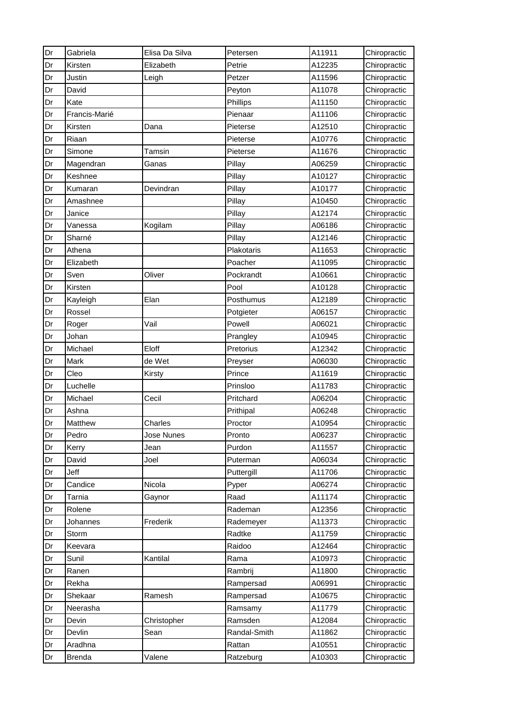| Dr | Gabriela      | Elisa Da Silva | Petersen     | A11911 | Chiropractic |
|----|---------------|----------------|--------------|--------|--------------|
| Dr | Kirsten       | Elizabeth      | Petrie       | A12235 | Chiropractic |
| Dr | Justin        | Leigh          | Petzer       | A11596 | Chiropractic |
| Dr | David         |                | Peyton       | A11078 | Chiropractic |
| Dr | Kate          |                | Phillips     | A11150 | Chiropractic |
| Dr | Francis-Marié |                | Pienaar      | A11106 | Chiropractic |
| Dr | Kirsten       | Dana           | Pieterse     | A12510 | Chiropractic |
| Dr | Riaan         |                | Pieterse     | A10776 | Chiropractic |
| Dr | Simone        | <b>Tamsin</b>  | Pieterse     | A11676 | Chiropractic |
| Dr | Magendran     | Ganas          | Pillay       | A06259 | Chiropractic |
| Dr | Keshnee       |                | Pillay       | A10127 | Chiropractic |
| Dr | Kumaran       | Devindran      | Pillay       | A10177 | Chiropractic |
| Dr | Amashnee      |                | Pillay       | A10450 | Chiropractic |
| Dr | Janice        |                | Pillay       | A12174 | Chiropractic |
| Dr | Vanessa       | Kogilam        | Pillay       | A06186 | Chiropractic |
| Dr | Sharné        |                | Pillay       | A12146 | Chiropractic |
| Dr | Athena        |                | Plakotaris   | A11653 | Chiropractic |
| Dr | Elizabeth     |                | Poacher      | A11095 | Chiropractic |
| Dr | Sven          | Oliver         | Pockrandt    | A10661 | Chiropractic |
| Dr | Kirsten       |                | Pool         | A10128 | Chiropractic |
| Dr | Kayleigh      | Elan           | Posthumus    | A12189 | Chiropractic |
| Dr | Rossel        |                | Potgieter    | A06157 | Chiropractic |
| Dr | Roger         | Vail           | Powell       | A06021 | Chiropractic |
| Dr | Johan         |                | Prangley     | A10945 | Chiropractic |
| Dr | Michael       | Eloff          | Pretorius    | A12342 | Chiropractic |
| Dr | Mark          | de Wet         | Preyser      | A06030 | Chiropractic |
| Dr | Cleo          | Kirsty         | Prince       | A11619 | Chiropractic |
| Dr | Luchelle      |                | Prinsloo     | A11783 | Chiropractic |
| Dr | Michael       | Cecil          | Pritchard    | A06204 | Chiropractic |
| Dr | Ashna         |                | Prithipal    | A06248 | Chiropractic |
| Dr | Matthew       | Charles        | Proctor      | A10954 | Chiropractic |
| Dr | Pedro         | Jose Nunes     | Pronto       | A06237 | Chiropractic |
| Dr | Kerry         | Jean           | Purdon       | A11557 | Chiropractic |
| Dr | David         | Joel           | Puterman     | A06034 | Chiropractic |
| Dr | Jeff          |                | Puttergill   | A11706 | Chiropractic |
| Dr | Candice       | Nicola         | Pyper        | A06274 | Chiropractic |
| Dr | <b>Tarnia</b> | Gaynor         | Raad         | A11174 | Chiropractic |
| Dr | Rolene        |                | Rademan      | A12356 | Chiropractic |
| Dr | Johannes      | Frederik       | Rademeyer    | A11373 | Chiropractic |
| Dr | Storm         |                | Radtke       | A11759 | Chiropractic |
| Dr | Keevara       |                | Raidoo       | A12464 | Chiropractic |
| Dr | Sunil         | Kantilal       | Rama         | A10973 | Chiropractic |
| Dr | Ranen         |                | Rambrij      | A11800 | Chiropractic |
| Dr | Rekha         |                | Rampersad    | A06991 | Chiropractic |
| Dr | Shekaar       | Ramesh         | Rampersad    | A10675 | Chiropractic |
| Dr | Neerasha      |                | Ramsamy      | A11779 | Chiropractic |
| Dr | Devin         | Christopher    | Ramsden      | A12084 | Chiropractic |
| Dr | Devlin        | Sean           | Randal-Smith | A11862 | Chiropractic |
| Dr | Aradhna       |                | Rattan       | A10551 | Chiropractic |
| Dr | <b>Brenda</b> | Valene         | Ratzeburg    | A10303 | Chiropractic |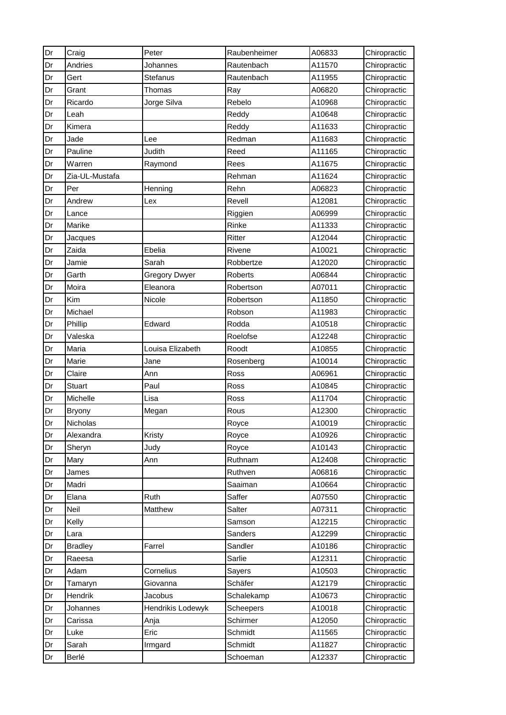| Dr | Craig           | Peter                | Raubenheimer     | A06833 | Chiropractic |
|----|-----------------|----------------------|------------------|--------|--------------|
| Dr | Andries         | Johannes             | Rautenbach       | A11570 | Chiropractic |
| Dr | Gert            | Stefanus             | Rautenbach       | A11955 | Chiropractic |
| Dr | Grant           | Thomas               | Ray              | A06820 | Chiropractic |
| Dr | Ricardo         | Jorge Silva          | Rebelo           | A10968 | Chiropractic |
| Dr | Leah            |                      | Reddy            | A10648 | Chiropractic |
| Dr | Kimera          |                      | Reddy            | A11633 | Chiropractic |
| Dr | Jade            | Lee                  | Redman           | A11683 | Chiropractic |
| Dr | Pauline         | Judith               | Reed             | A11165 | Chiropractic |
| Dr | Warren          | Raymond              | Rees             | A11675 | Chiropractic |
| Dr | Zia-UL-Mustafa  |                      | Rehman           | A11624 | Chiropractic |
| Dr | Per             | Henning              | Rehn             | A06823 | Chiropractic |
| Dr | Andrew          | Lex                  | Revell           | A12081 | Chiropractic |
| Dr | Lance           |                      | Riggien          | A06999 | Chiropractic |
| Dr | Marike          |                      | Rinke            | A11333 | Chiropractic |
| Dr | Jacques         |                      | Ritter           | A12044 | Chiropractic |
| Dr | Zaida           | Ebelia               | Rivene           | A10021 | Chiropractic |
| Dr | Jamie           | Sarah                | Robbertze        | A12020 | Chiropractic |
| Dr | Garth           | <b>Gregory Dwyer</b> | Roberts          | A06844 | Chiropractic |
| Dr | Moira           | Eleanora             | Robertson        | A07011 | Chiropractic |
| Dr | Kim             | Nicole               | Robertson        | A11850 | Chiropractic |
| Dr | Michael         |                      | Robson           | A11983 | Chiropractic |
| Dr | Phillip         | Edward               | Rodda            | A10518 | Chiropractic |
| Dr | Valeska         |                      | Roelofse         | A12248 | Chiropractic |
| Dr | Maria           | Louisa Elizabeth     | Roodt            | A10855 | Chiropractic |
| Dr | Marie           | Jane                 | Rosenberg        | A10014 | Chiropractic |
| Dr | Claire          | Ann                  | Ross             | A06961 | Chiropractic |
| Dr | <b>Stuart</b>   | Paul                 | Ross             | A10845 | Chiropractic |
| Dr | Michelle        | Lisa                 | Ross             | A11704 | Chiropractic |
| Dr | <b>Bryony</b>   | Megan                | Rous             | A12300 | Chiropractic |
| Dr | <b>Nicholas</b> |                      | Royce            | A10019 | Chiropractic |
| Dr | Alexandra       | Kristy               | Royce            | A10926 | Chiropractic |
| Dr | Sheryn          | Judy                 | Royce            | A10143 | Chiropractic |
| Dr | Mary            | Ann                  | Ruthnam          | A12408 | Chiropractic |
| Dr | James           |                      | Ruthven          | A06816 | Chiropractic |
| Dr | Madri           |                      | Saaiman          | A10664 | Chiropractic |
| Dr | Elana           | Ruth                 | Saffer           | A07550 | Chiropractic |
| Dr | Neil            | Matthew              | Salter           | A07311 | Chiropractic |
| Dr | Kelly           |                      | Samson           | A12215 | Chiropractic |
| Dr | Lara            |                      | Sanders          | A12299 | Chiropractic |
| Dr | <b>Bradley</b>  | Farrel               | Sandler          | A10186 | Chiropractic |
| Dr | Raeesa          |                      | Sarlie           | A12311 | Chiropractic |
| Dr | Adam            | Cornelius            | Sayers           | A10503 | Chiropractic |
| Dr | Tamaryn         | Giovanna             | Schäfer          | A12179 | Chiropractic |
| Dr | Hendrik         | Jacobus              | Schalekamp       | A10673 | Chiropractic |
| Dr | Johannes        | Hendrikis Lodewyk    | <b>Scheepers</b> | A10018 | Chiropractic |
| Dr | Carissa         | Anja                 | Schirmer         | A12050 | Chiropractic |
| Dr | Luke            | Eric                 | Schmidt          | A11565 | Chiropractic |
| Dr | Sarah           | Irmgard              | Schmidt          | A11827 | Chiropractic |
| Dr | Berlé           |                      | Schoeman         | A12337 | Chiropractic |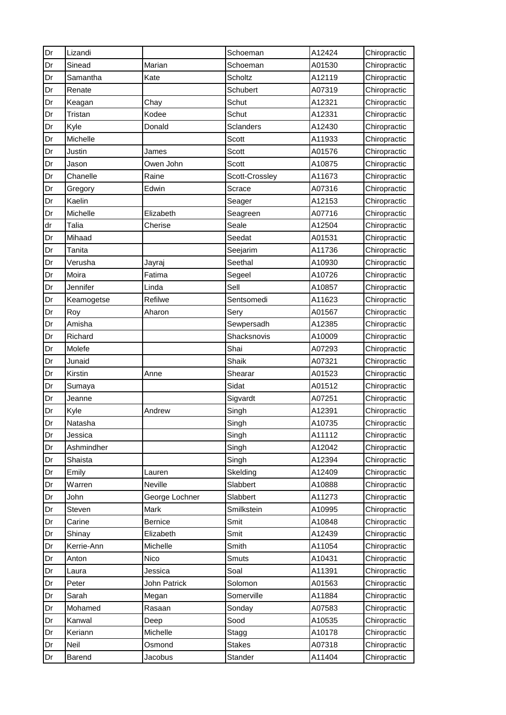| Dr | Lizandi    |                | Schoeman         | A12424 | Chiropractic |
|----|------------|----------------|------------------|--------|--------------|
| Dr | Sinead     | Marian         | Schoeman         | A01530 | Chiropractic |
| Dr | Samantha   | Kate           | <b>Scholtz</b>   | A12119 | Chiropractic |
| Dr | Renate     |                | Schubert         | A07319 | Chiropractic |
| Dr | Keagan     | Chay           | Schut            | A12321 | Chiropractic |
| Dr | Tristan    | Kodee          | Schut            | A12331 | Chiropractic |
| Dr | Kyle       | Donald         | <b>Sclanders</b> | A12430 | Chiropractic |
| Dr | Michelle   |                | Scott            | A11933 | Chiropractic |
| Dr | Justin     | James          | Scott            | A01576 | Chiropractic |
| Dr | Jason      | Owen John      | Scott            | A10875 | Chiropractic |
| Dr | Chanelle   | Raine          | Scott-Crossley   | A11673 | Chiropractic |
| Dr | Gregory    | Edwin          | Scrace           | A07316 | Chiropractic |
| Dr | Kaelin     |                | Seager           | A12153 | Chiropractic |
| Dr | Michelle   | Elizabeth      | Seagreen         | A07716 | Chiropractic |
| dr | Talia      | Cherise        | Seale            | A12504 | Chiropractic |
| Dr | Mihaad     |                | Seedat           | A01531 | Chiropractic |
| Dr | Tanita     |                | Seejarim         | A11736 | Chiropractic |
| Dr | Verusha    | Jayraj         | Seethal          | A10930 | Chiropractic |
| Dr | Moira      | Fatima         | Segeel           | A10726 | Chiropractic |
| Dr | Jennifer   | Linda          | Sell             | A10857 | Chiropractic |
| Dr | Keamogetse | Refilwe        | Sentsomedi       | A11623 | Chiropractic |
| Dr | Roy        | Aharon         | Sery             | A01567 | Chiropractic |
| Dr | Amisha     |                | Sewpersadh       | A12385 | Chiropractic |
| Dr | Richard    |                | Shacksnovis      | A10009 | Chiropractic |
| Dr | Molefe     |                | Shai             | A07293 | Chiropractic |
| Dr | Junaid     |                | Shaik            | A07321 | Chiropractic |
| Dr | Kirstin    | Anne           | Shearar          | A01523 | Chiropractic |
| Dr | Sumaya     |                | Sidat            | A01512 | Chiropractic |
| Dr | Jeanne     |                | Sigvardt         | A07251 | Chiropractic |
| Dr | Kyle       | Andrew         | Singh            | A12391 | Chiropractic |
| Dr | Natasha    |                | Singh            | A10735 | Chiropractic |
| Dr | Jessica    |                | Singh            | A11112 | Chiropractic |
| Dr | Ashmindher |                | Singh            | A12042 | Chiropractic |
| Dr | Shaista    |                | Singh            | A12394 | Chiropractic |
| Dr | Emily      | Lauren         | Skelding         | A12409 | Chiropractic |
| Dr | Warren     | Neville        | Slabbert         | A10888 | Chiropractic |
| Dr | John       | George Lochner | Slabbert         | A11273 | Chiropractic |
| Dr | Steven     | Mark           | Smilkstein       | A10995 | Chiropractic |
| Dr | Carine     | <b>Bernice</b> | Smit             | A10848 | Chiropractic |
| Dr | Shinay     | Elizabeth      | Smit             | A12439 | Chiropractic |
| Dr | Kerrie-Ann | Michelle       | Smith            | A11054 | Chiropractic |
| Dr | Anton      | Nico           | Smuts            | A10431 | Chiropractic |
| Dr | Laura      | Jessica        | Soal             | A11391 | Chiropractic |
| Dr | Peter      | John Patrick   | Solomon          | A01563 | Chiropractic |
| Dr | Sarah      | Megan          | Somerville       | A11884 | Chiropractic |
| Dr | Mohamed    | Rasaan         | Sonday           | A07583 | Chiropractic |
| Dr | Kanwal     | Deep           | Sood             | A10535 | Chiropractic |
| Dr | Keriann    | Michelle       | Stagg            | A10178 | Chiropractic |
| Dr | Neil       | Osmond         | <b>Stakes</b>    | A07318 | Chiropractic |
| Dr | Barend     | Jacobus        | Stander          | A11404 | Chiropractic |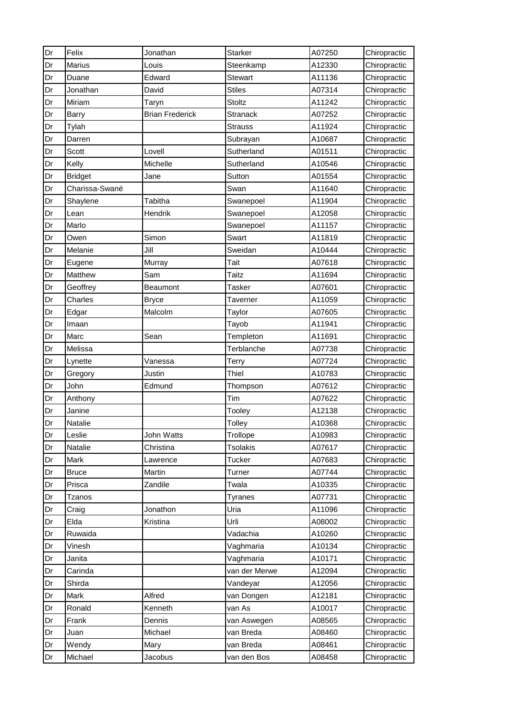| Dr | Felix          | Jonathan               | Starker         | A07250 | Chiropractic |
|----|----------------|------------------------|-----------------|--------|--------------|
| Dr | Marius         | Louis                  | Steenkamp       | A12330 | Chiropractic |
| Dr | Duane          | Edward                 | <b>Stewart</b>  | A11136 | Chiropractic |
| Dr | Jonathan       | David                  | <b>Stiles</b>   | A07314 | Chiropractic |
| Dr | Miriam         | Taryn                  | Stoltz          | A11242 | Chiropractic |
| Dr | <b>Barry</b>   | <b>Brian Frederick</b> | <b>Stranack</b> | A07252 | Chiropractic |
| Dr | Tylah          |                        | <b>Strauss</b>  | A11924 | Chiropractic |
| Dr | Darren         |                        | Subrayan        | A10687 | Chiropractic |
| Dr | Scott          | Lovell                 | Sutherland      | A01511 | Chiropractic |
| Dr | Kelly          | Michelle               | Sutherland      | A10546 | Chiropractic |
| Dr | <b>Bridget</b> | Jane                   | Sutton          | A01554 | Chiropractic |
| Dr | Charissa-Swané |                        | Swan            | A11640 | Chiropractic |
| Dr | Shaylene       | Tabitha                | Swanepoel       | A11904 | Chiropractic |
| Dr | Lean           | Hendrik                | Swanepoel       | A12058 | Chiropractic |
| Dr | Marlo          |                        | Swanepoel       | A11157 | Chiropractic |
| Dr | Owen           | Simon                  | Swart           | A11819 | Chiropractic |
| Dr | Melanie        | Jill                   | Sweidan         | A10444 | Chiropractic |
| Dr | Eugene         | Murray                 | Tait            | A07618 | Chiropractic |
| Dr | Matthew        | Sam                    | Taitz           | A11694 | Chiropractic |
| Dr | Geoffrey       | <b>Beaumont</b>        | Tasker          | A07601 | Chiropractic |
| Dr | Charles        | <b>Bryce</b>           | Taverner        | A11059 | Chiropractic |
| Dr | Edgar          | Malcolm                | Taylor          | A07605 | Chiropractic |
| Dr | Imaan          |                        | Tayob           | A11941 | Chiropractic |
| Dr | Marc           | Sean                   | Templeton       | A11691 | Chiropractic |
| Dr | Melissa        |                        | Terblanche      | A07738 | Chiropractic |
| Dr | Lynette        | Vanessa                | <b>Terry</b>    | A07724 | Chiropractic |
| Dr | Gregory        | Justin                 | Thiel           | A10783 | Chiropractic |
| Dr | John           | Edmund                 | Thompson        | A07612 | Chiropractic |
| Dr | Anthony        |                        | Tim             | A07622 | Chiropractic |
| Dr | Janine         |                        | Tooley          | A12138 | Chiropractic |
| Dr | <b>Natalie</b> |                        | Tolley          | A10368 | Chiropractic |
| Dr | Leslie         | John Watts             | Trollope        | A10983 | Chiropractic |
| Dr | Natalie        | Christina              | <b>Tsolakis</b> | A07617 | Chiropractic |
| Dr | Mark           | Lawrence               | <b>Tucker</b>   | A07683 | Chiropractic |
| Dr | <b>Bruce</b>   | Martin                 | Turner          | A07744 | Chiropractic |
| Dr | Prisca         | Zandile                | Twala           | A10335 | Chiropractic |
| Dr | Tzanos         |                        | Tyranes         | A07731 | Chiropractic |
| Dr | Craig          | Jonathon               | Uria            | A11096 | Chiropractic |
| Dr | Elda           | Kristina               | Urli            | A08002 | Chiropractic |
| Dr | Ruwaida        |                        | Vadachia        | A10260 | Chiropractic |
| Dr | Vinesh         |                        | Vaghmaria       | A10134 | Chiropractic |
| Dr | Janita         |                        | Vaghmaria       | A10171 | Chiropractic |
| Dr | Carinda        |                        | van der Merwe   | A12094 | Chiropractic |
| Dr | Shirda         |                        | Vandeyar        | A12056 | Chiropractic |
| Dr | Mark           | Alfred                 | van Dongen      | A12181 | Chiropractic |
| Dr | Ronald         | Kenneth                | van As          | A10017 | Chiropractic |
| Dr | Frank          | Dennis                 | van Aswegen     | A08565 | Chiropractic |
| Dr | Juan           | Michael                | van Breda       | A08460 | Chiropractic |
| Dr | Wendy          | Mary                   | van Breda       | A08461 | Chiropractic |
| Dr | Michael        | Jacobus                | van den Bos     | A08458 | Chiropractic |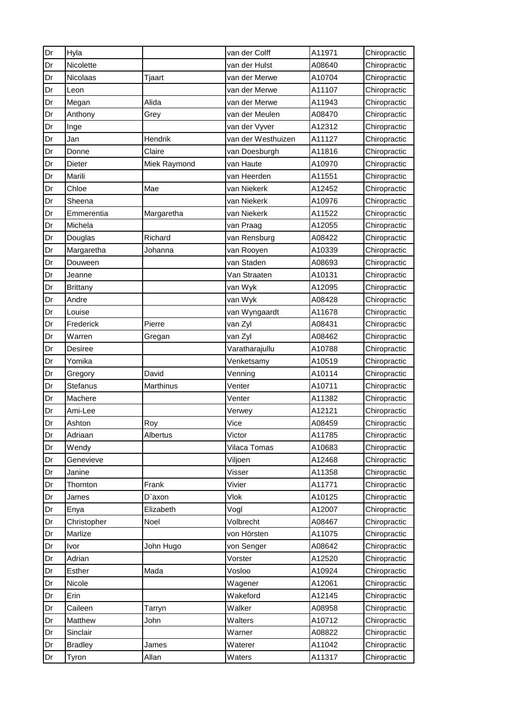| Dr | Hyla            |              | van der Colff      | A11971 | Chiropractic |
|----|-----------------|--------------|--------------------|--------|--------------|
| Dr | Nicolette       |              | van der Hulst      | A08640 | Chiropractic |
| Dr | <b>Nicolaas</b> | Tjaart       | van der Merwe      | A10704 | Chiropractic |
| Dr | Leon            |              | van der Merwe      | A11107 | Chiropractic |
| Dr | Megan           | Alida        | van der Merwe      | A11943 | Chiropractic |
| Dr | Anthony         | Grey         | van der Meulen     | A08470 | Chiropractic |
| Dr | Inge            |              | van der Vyver      | A12312 | Chiropractic |
| Dr | Jan             | Hendrik      | van der Westhuizen | A11127 | Chiropractic |
| Dr | Donne           | Claire       | van Doesburgh      | A11816 | Chiropractic |
| Dr | Dieter          | Miek Raymond | van Haute          | A10970 | Chiropractic |
| Dr | Marili          |              | van Heerden        | A11551 | Chiropractic |
| Dr | Chloe           | Mae          | van Niekerk        | A12452 | Chiropractic |
| Dr | Sheena          |              | van Niekerk        | A10976 | Chiropractic |
| Dr | Emmerentia      | Margaretha   | van Niekerk        | A11522 | Chiropractic |
| Dr | Michela         |              | van Praag          | A12055 | Chiropractic |
| Dr | Douglas         | Richard      | van Rensburg       | A08422 | Chiropractic |
| Dr | Margaretha      | Johanna      | van Rooyen         | A10339 | Chiropractic |
| Dr | Douween         |              | van Staden         | A08693 | Chiropractic |
| Dr | Jeanne          |              | Van Straaten       | A10131 | Chiropractic |
| Dr | <b>Brittany</b> |              | van Wyk            | A12095 | Chiropractic |
| Dr | Andre           |              | van Wyk            | A08428 | Chiropractic |
| Dr | Louise          |              | van Wyngaardt      | A11678 | Chiropractic |
| Dr | Frederick       | Pierre       | van Zyl            | A08431 | Chiropractic |
| Dr | Warren          | Gregan       | van Zyl            | A08462 | Chiropractic |
| Dr | Desiree         |              | Varatharajullu     | A10788 | Chiropractic |
| Dr | Yomika          |              | Venketsamy         | A10519 | Chiropractic |
| Dr | Gregory         | David        | Venning            | A10114 | Chiropractic |
| Dr | Stefanus        | Marthinus    | Venter             | A10711 | Chiropractic |
| Dr | Machere         |              | Venter             | A11382 | Chiropractic |
| Dr | Ami-Lee         |              | Verwey             | A12121 | Chiropractic |
| Dr | Ashton          | Roy          | Vice               | A08459 | Chiropractic |
| Dr | Adriaan         | Albertus     | Victor             | A11785 | Chiropractic |
| Dr | Wendy           |              | Vilaca Tomas       | A10683 | Chiropractic |
| Dr | Genevieve       |              | Viljoen            | A12468 | Chiropractic |
| Dr | Janine          |              | Visser             | A11358 | Chiropractic |
| Dr | Thornton        | Frank        | Vivier             | A11771 | Chiropractic |
| Dr | James           | D'axon       | <b>Vlok</b>        | A10125 | Chiropractic |
| Dr | Enya            | Elizabeth    | Vogl               | A12007 | Chiropractic |
| Dr | Christopher     | Noel         | Volbrecht          | A08467 | Chiropractic |
| Dr | Marlize         |              | von Hörsten        | A11075 | Chiropractic |
| Dr | Ivor            | John Hugo    | von Senger         | A08642 | Chiropractic |
| Dr | Adrian          |              | Vorster            | A12520 | Chiropractic |
| Dr | Esther          | Mada         | Vosloo             | A10924 | Chiropractic |
| Dr | Nicole          |              | Wagener            | A12061 | Chiropractic |
| Dr | Erin            |              | Wakeford           | A12145 | Chiropractic |
| Dr | Caileen         | Tarryn       | Walker             | A08958 | Chiropractic |
| Dr | Matthew         | John         | Walters            | A10712 | Chiropractic |
| Dr | Sinclair        |              | Warner             | A08822 | Chiropractic |
| Dr | <b>Bradley</b>  | James        | Waterer            | A11042 | Chiropractic |
| Dr | Tyron           | Allan        | Waters             | A11317 | Chiropractic |